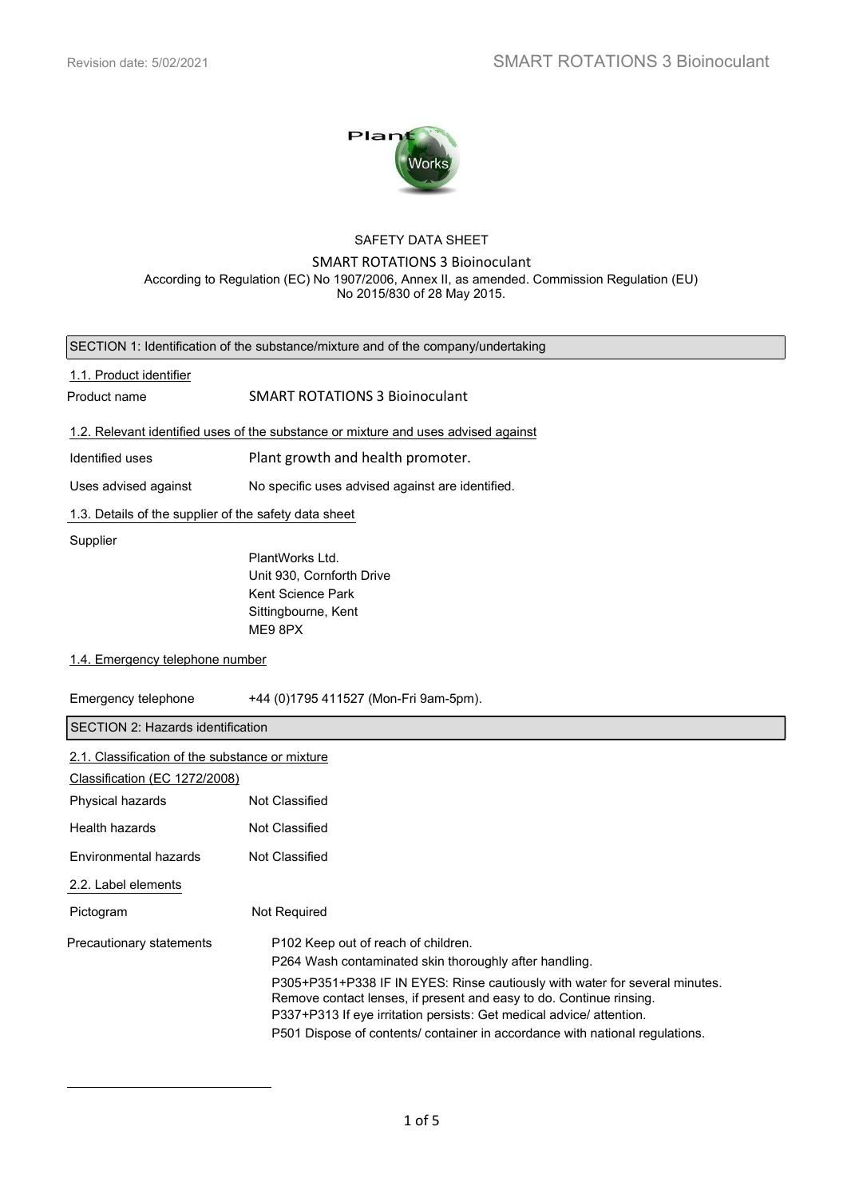$\overline{a}$ 



### SAFETY DATA SHEET

# SMART ROTATIONS 3 Bioinoculant

According to Regulation (EC) No 1907/2006, Annex II, as amended. Commission Regulation (EU) No 2015/830 of 28 May 2015.

| SECTION 1: Identification of the substance/mixture and of the company/undertaking  |                                                                                                                                                                                                                                                                                                            |  |  |
|------------------------------------------------------------------------------------|------------------------------------------------------------------------------------------------------------------------------------------------------------------------------------------------------------------------------------------------------------------------------------------------------------|--|--|
| 1.1. Product identifier                                                            |                                                                                                                                                                                                                                                                                                            |  |  |
| Product name                                                                       | <b>SMART ROTATIONS 3 Bioinoculant</b>                                                                                                                                                                                                                                                                      |  |  |
| 1.2. Relevant identified uses of the substance or mixture and uses advised against |                                                                                                                                                                                                                                                                                                            |  |  |
| Identified uses                                                                    | Plant growth and health promoter.                                                                                                                                                                                                                                                                          |  |  |
| Uses advised against                                                               | No specific uses advised against are identified.                                                                                                                                                                                                                                                           |  |  |
| 1.3. Details of the supplier of the safety data sheet                              |                                                                                                                                                                                                                                                                                                            |  |  |
| Supplier                                                                           |                                                                                                                                                                                                                                                                                                            |  |  |
|                                                                                    | PlantWorks Ltd.                                                                                                                                                                                                                                                                                            |  |  |
|                                                                                    | Unit 930, Cornforth Drive                                                                                                                                                                                                                                                                                  |  |  |
|                                                                                    | Kent Science Park                                                                                                                                                                                                                                                                                          |  |  |
|                                                                                    | Sittingbourne, Kent<br>ME9 8PX                                                                                                                                                                                                                                                                             |  |  |
|                                                                                    |                                                                                                                                                                                                                                                                                                            |  |  |
| 1.4. Emergency telephone number                                                    |                                                                                                                                                                                                                                                                                                            |  |  |
| Emergency telephone                                                                | +44 (0)1795 411527 (Mon-Fri 9am-5pm).                                                                                                                                                                                                                                                                      |  |  |
| SECTION 2: Hazards identification                                                  |                                                                                                                                                                                                                                                                                                            |  |  |
| 2.1. Classification of the substance or mixture                                    |                                                                                                                                                                                                                                                                                                            |  |  |
| Classification (EC 1272/2008)                                                      |                                                                                                                                                                                                                                                                                                            |  |  |
| Physical hazards                                                                   | Not Classified                                                                                                                                                                                                                                                                                             |  |  |
| Health hazards                                                                     | Not Classified                                                                                                                                                                                                                                                                                             |  |  |
| Environmental hazards                                                              | Not Classified                                                                                                                                                                                                                                                                                             |  |  |
| 2.2. Label elements                                                                |                                                                                                                                                                                                                                                                                                            |  |  |
| Pictogram                                                                          | Not Required                                                                                                                                                                                                                                                                                               |  |  |
| Precautionary statements                                                           | P102 Keep out of reach of children.<br>P264 Wash contaminated skin thoroughly after handling.                                                                                                                                                                                                              |  |  |
|                                                                                    | P305+P351+P338 IF IN EYES: Rinse cautiously with water for several minutes.<br>Remove contact lenses, if present and easy to do. Continue rinsing.<br>P337+P313 If eye irritation persists: Get medical advice/ attention.<br>P501 Dispose of contents/ container in accordance with national regulations. |  |  |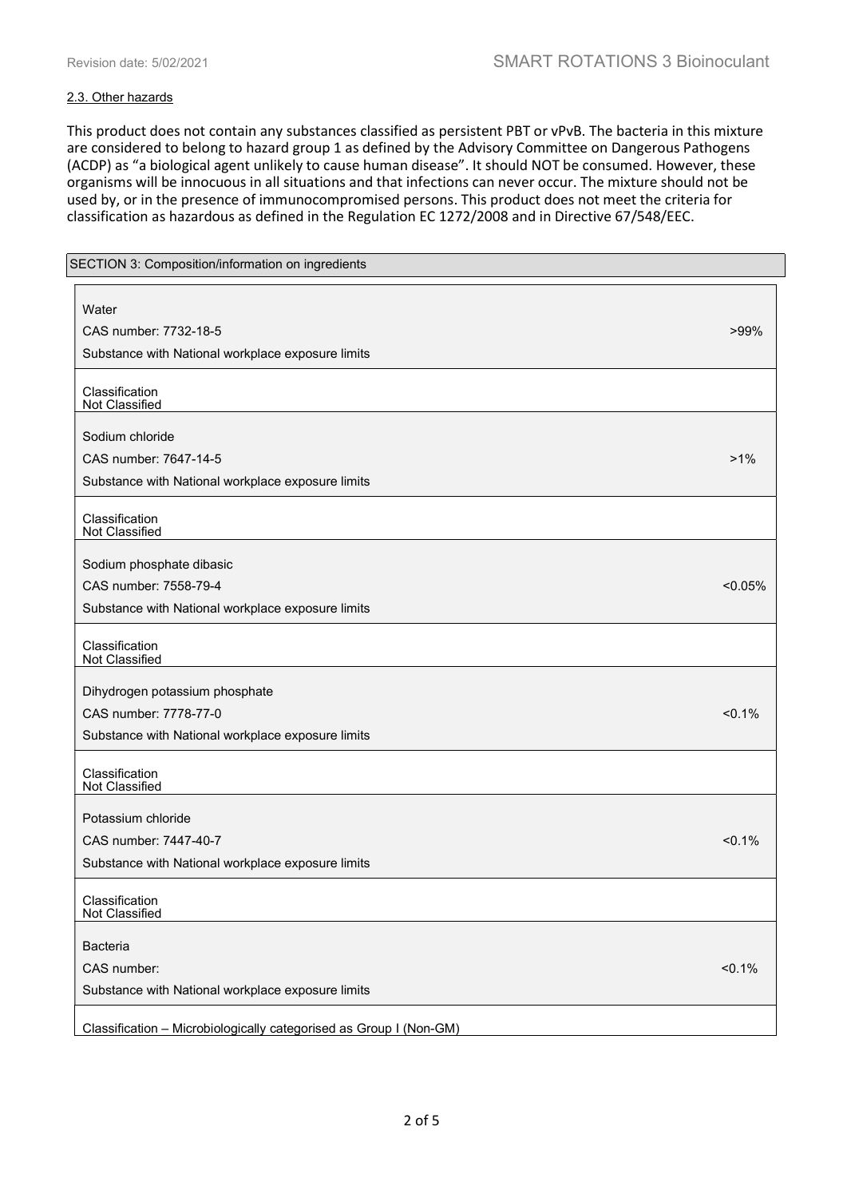### 2.3. Other hazards

This product does not contain any substances classified as persistent PBT or vPvB. The bacteria in this mixture are considered to belong to hazard group 1 as defined by the Advisory Committee on Dangerous Pathogens (ACDP) as "a biological agent unlikely to cause human disease". It should NOT be consumed. However, these organisms will be innocuous in all situations and that infections can never occur. The mixture should not be used by, or in the presence of immunocompromised persons. This product does not meet the criteria for classification as hazardous as defined in the Regulation EC 1272/2008 and in Directive 67/548/EEC.

| SECTION 3: Composition/information on ingredients                  |            |
|--------------------------------------------------------------------|------------|
| Water                                                              |            |
| CAS number: 7732-18-5                                              | $>99\%$    |
| Substance with National workplace exposure limits                  |            |
|                                                                    |            |
| Classification<br>Not Classified                                   |            |
| Sodium chloride                                                    |            |
| CAS number: 7647-14-5                                              | $>1\%$     |
| Substance with National workplace exposure limits                  |            |
| Classification<br>Not Classified                                   |            |
| Sodium phosphate dibasic                                           |            |
| CAS number: 7558-79-4                                              | $< 0.05\%$ |
| Substance with National workplace exposure limits                  |            |
| Classification<br>Not Classified                                   |            |
| Dihydrogen potassium phosphate                                     |            |
| CAS number: 7778-77-0                                              | < 0.1%     |
| Substance with National workplace exposure limits                  |            |
| Classification<br>Not Classified                                   |            |
| Potassium chloride                                                 |            |
| CAS number: 7447-40-7                                              | $< 0.1\%$  |
| Substance with National workplace exposure limits                  |            |
| Classification<br>Not Classified                                   |            |
| Bacteria                                                           |            |
| CAS number:                                                        | $< 0.1\%$  |
| Substance with National workplace exposure limits                  |            |
| Classification - Microbiologically categorised as Group I (Non-GM) |            |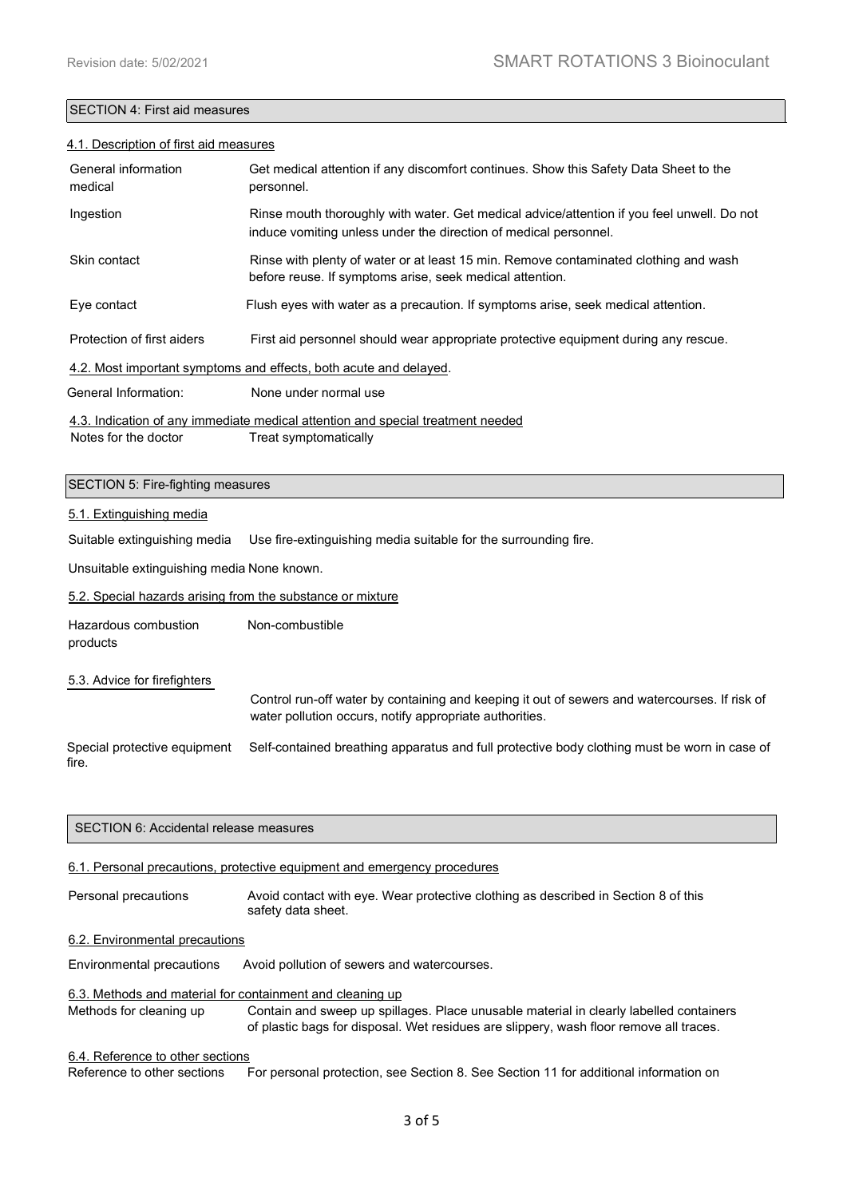## SECTION 4: First aid measures

#### 4.1. Description of first aid measures

| General information<br>medical                                                  | Get medical attention if any discomfort continues. Show this Safety Data Sheet to the<br>personnel.                                                            |  |
|---------------------------------------------------------------------------------|----------------------------------------------------------------------------------------------------------------------------------------------------------------|--|
| Ingestion                                                                       | Rinse mouth thoroughly with water. Get medical advice/attention if you feel unwell. Do not<br>induce vomiting unless under the direction of medical personnel. |  |
| Skin contact                                                                    | Rinse with plenty of water or at least 15 min. Remove contaminated clothing and wash<br>before reuse. If symptoms arise, seek medical attention.               |  |
| Eye contact                                                                     | Flush eyes with water as a precaution. If symptoms arise, seek medical attention.                                                                              |  |
| Protection of first aiders                                                      | First aid personnel should wear appropriate protective equipment during any rescue.                                                                            |  |
| 4.2. Most important symptoms and effects, both acute and delayed.               |                                                                                                                                                                |  |
| General Information:                                                            | None under normal use                                                                                                                                          |  |
| 4.3. Indication of any immediate medical attention and special treatment needed |                                                                                                                                                                |  |

Notes for the doctor Treat symptomatically

#### SECTION 5: Fire-fighting measures

#### 5.1. Extinguishing media

Suitable extinguishing media Use fire-extinguishing media suitable for the surrounding fire.

Unsuitable extinguishing media None known.

5.2. Special hazards arising from the substance or mixture

Hazardous combustion Non-combustible

products

5.3. Advice for firefighters Control run-off water by containing and keeping it out of sewers and watercourses. If risk of water pollution occurs, notify appropriate authorities.

Special protective equipment Self-contained breathing apparatus and full protective body clothing must be worn in case of fire.

## 6.1. Personal precautions, protective equipment and emergency procedures

Personal precautions Avoid contact with eye. Wear protective clothing as described in Section 8 of this safety data sheet.

## 6.2. Environmental precautions

Environmental precautions Avoid pollution of sewers and watercourses.

## 6.3. Methods and material for containment and cleaning up

Methods for cleaning up Contain and sweep up spillages. Place unusable material in clearly labelled containers of plastic bags for disposal. Wet residues are slippery, wash floor remove all traces.

# 6.4. Reference to other sections

Reference to other sections For personal protection, see Section 8. See Section 11 for additional information on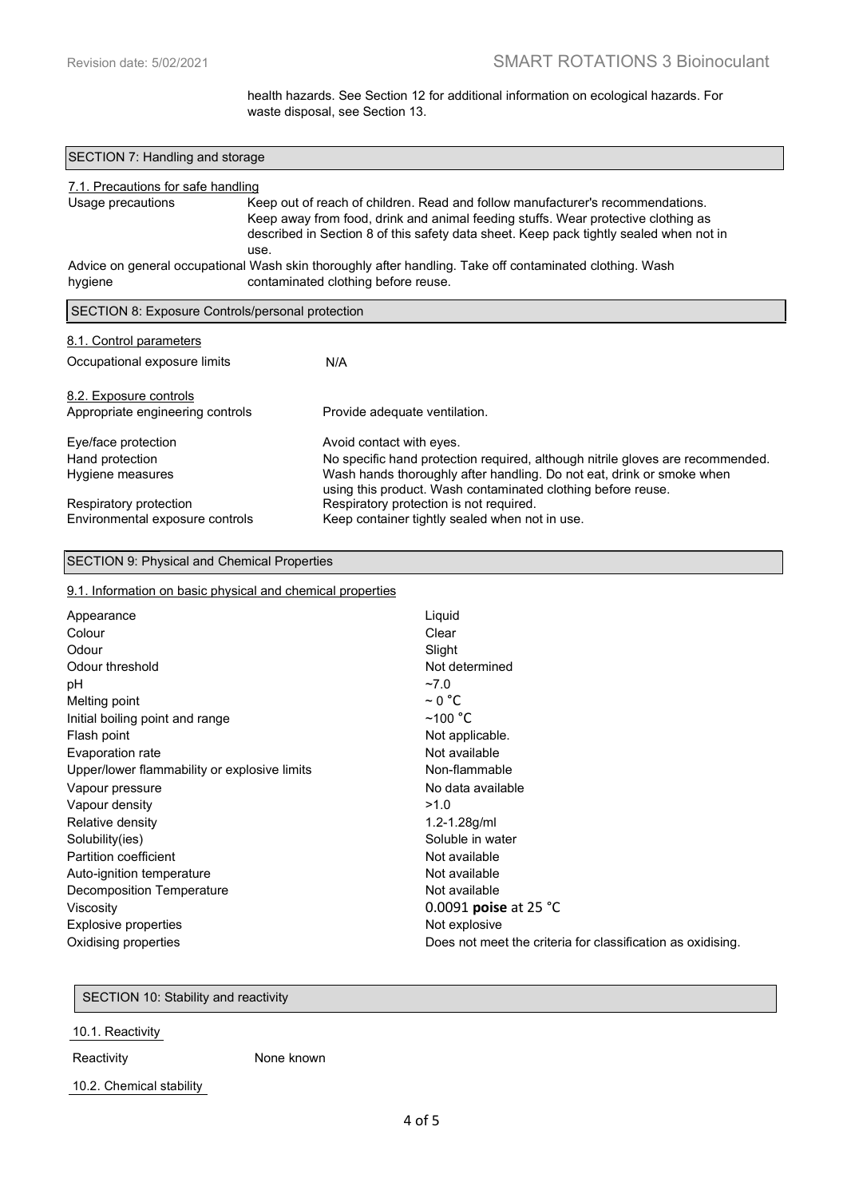health hazards. See Section 12 for additional information on ecological hazards. For waste disposal, see Section 13.

| SECTION 7: Handling and storage                            |                                                                                                                                                                                                                                                                       |  |  |
|------------------------------------------------------------|-----------------------------------------------------------------------------------------------------------------------------------------------------------------------------------------------------------------------------------------------------------------------|--|--|
| 7.1. Precautions for safe handling                         |                                                                                                                                                                                                                                                                       |  |  |
| Usage precautions                                          | Keep out of reach of children. Read and follow manufacturer's recommendations.<br>Keep away from food, drink and animal feeding stuffs. Wear protective clothing as<br>described in Section 8 of this safety data sheet. Keep pack tightly sealed when not in<br>use. |  |  |
| hygiene                                                    | Advice on general occupational Wash skin thoroughly after handling. Take off contaminated clothing. Wash<br>contaminated clothing before reuse.                                                                                                                       |  |  |
| SECTION 8: Exposure Controls/personal protection           |                                                                                                                                                                                                                                                                       |  |  |
| 8.1. Control parameters                                    |                                                                                                                                                                                                                                                                       |  |  |
| Occupational exposure limits                               | N/A                                                                                                                                                                                                                                                                   |  |  |
| 8.2. Exposure controls<br>Appropriate engineering controls | Provide adequate ventilation.                                                                                                                                                                                                                                         |  |  |
| Eye/face protection                                        | Avoid contact with eyes.                                                                                                                                                                                                                                              |  |  |
| Hand protection<br>Hygiene measures                        | No specific hand protection required, although nitrile gloves are recommended.<br>Wash hands thoroughly after handling. Do not eat, drink or smoke when<br>using this product. Wash contaminated clothing before reuse.                                               |  |  |
| Respiratory protection<br>Environmental exposure controls  | Respiratory protection is not required.<br>Keep container tightly sealed when not in use.                                                                                                                                                                             |  |  |

## SECTION 9: Physical and Chemical Properties

## 9.1. Information on basic physical and chemical properties

| Appearance                                   | Liquid                                                      |
|----------------------------------------------|-------------------------------------------------------------|
| Colour                                       | Clear                                                       |
| Odour                                        | Slight                                                      |
| Odour threshold                              | Not determined                                              |
| рH                                           | $-7.0$                                                      |
| Melting point                                | $\sim$ 0 °C                                                 |
| Initial boiling point and range              | $~100~^{\circ}$ C                                           |
| Flash point                                  | Not applicable.                                             |
| Evaporation rate                             | Not available                                               |
| Upper/lower flammability or explosive limits | Non-flammable                                               |
| Vapour pressure                              | No data available                                           |
| Vapour density                               | >1.0                                                        |
| Relative density                             | $1.2 - 1.28$ g/ml                                           |
| Solubility(ies)                              | Soluble in water                                            |
| Partition coefficient                        | Not available                                               |
| Auto-ignition temperature                    | Not available                                               |
| Decomposition Temperature                    | Not available                                               |
| Viscosity                                    | 0.0091 poise at 25 °C                                       |
| Explosive properties                         | Not explosive                                               |
| Oxidising properties                         | Does not meet the criteria for classification as oxidising. |

SECTION 10: Stability and reactivity

10.1. Reactivity

Reactivity **None known** 

10.2. Chemical stability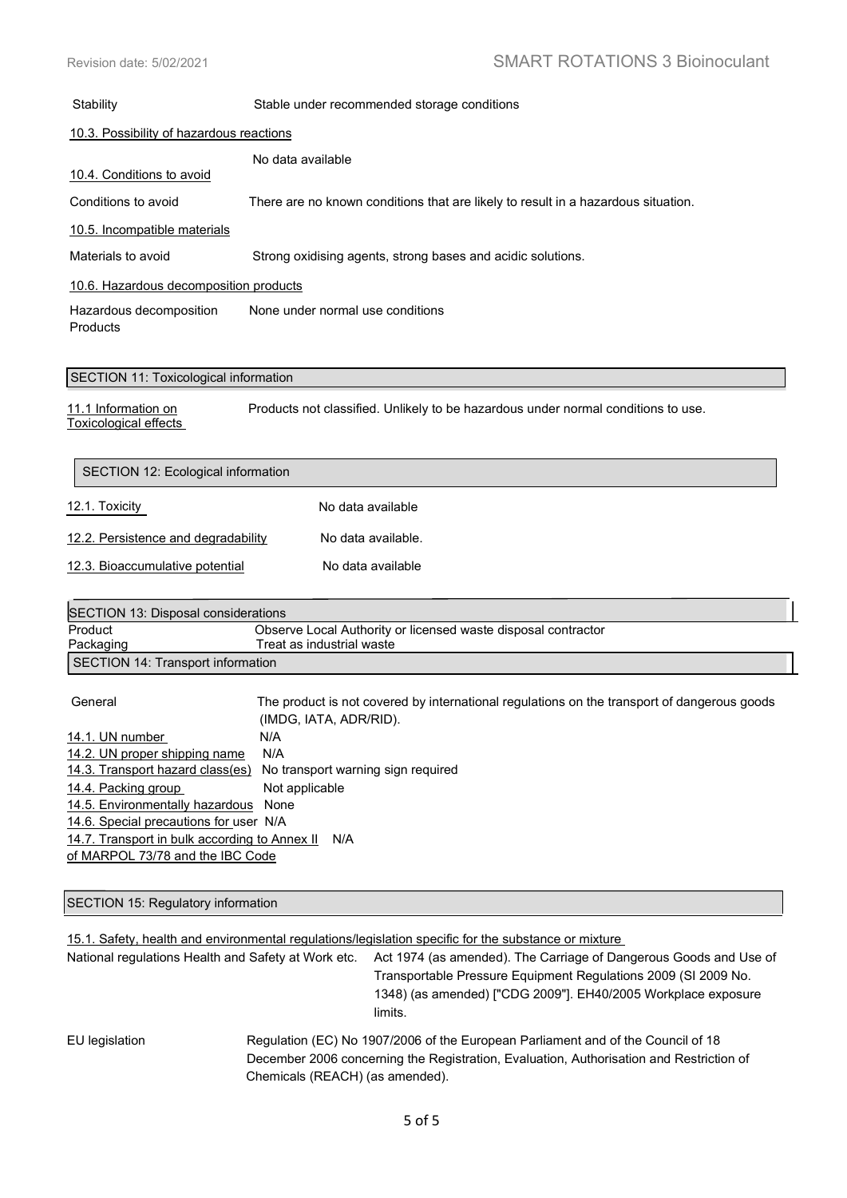| Stability                                  | Stable under recommended storage conditions                                       |  |
|--------------------------------------------|-----------------------------------------------------------------------------------|--|
| 10.3. Possibility of hazardous reactions   |                                                                                   |  |
| 10.4. Conditions to avoid                  | No data available                                                                 |  |
| Conditions to avoid                        | There are no known conditions that are likely to result in a hazardous situation. |  |
| 10.5. Incompatible materials               |                                                                                   |  |
| Materials to avoid                         | Strong oxidising agents, strong bases and acidic solutions.                       |  |
| 10.6. Hazardous decomposition products     |                                                                                   |  |
| Hazardous decomposition<br><b>Products</b> | None under normal use conditions                                                  |  |

#### SECTION 11: Toxicological information

11.1 Information on Products not classified. Unlikely to be hazardous under normal conditions to use. Toxicological effects

| SECTION 12: Ecological information  |                    |
|-------------------------------------|--------------------|
| 12.1. Toxicity                      | No data available  |
| 12.2. Persistence and degradability | No data available. |
| 12.3. Bioaccumulative potential     | No data available  |
|                                     |                    |

| SECTION 13: Disposal considerations |                                                               |
|-------------------------------------|---------------------------------------------------------------|
| Product                             | Observe Local Authority or licensed waste disposal contractor |
| Packaging                           | Treat as industrial waste                                     |
| SECTION 14: Transport information   |                                                               |

General The product is not covered by international regulations on the transport of dangerous goods (IMDG, IATA, ADR/RID). 14.1. UN number N/A 14.2. UN proper shipping name N/A 14.3. Transport hazard class(es) No transport warning sign required 14.4. Packing group Not applicable 14.5. Environmentally hazardous None 14.6. Special precautions for user N/A 14.7. Transport in bulk according to Annex II N/A of MARPOL 73/78 and the IBC Code

SECTION 15: Regulatory information

l,

15.1. Safety, health and environmental regulations/legislation specific for the substance or mixture

| National regulations Health and Safety at Work etc. | Act 1974 (as amended). The Carriage of Dangerous Goods and Use of                |
|-----------------------------------------------------|----------------------------------------------------------------------------------|
|                                                     | Transportable Pressure Equipment Regulations 2009 (SI 2009 No.                   |
|                                                     | 1348) (as amended) ["CDG 2009"]. EH40/2005 Workplace exposure<br>limits.         |
| EU legislation                                      | Regulation (EC) No 1907/2006 of the European Parliament and of the Council of 18 |

 December 2006 concerning the Registration, Evaluation, Authorisation and Restriction of Chemicals (REACH) (as amended).